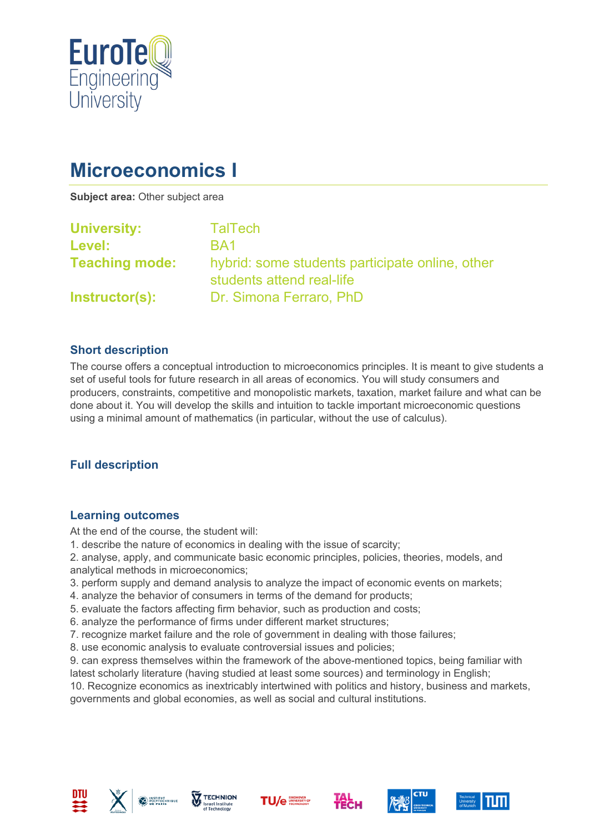

# **Microeconomics I**

**Subject area:** Other subject area

| <b>University:</b>    | <b>TalTech</b>                                                               |
|-----------------------|------------------------------------------------------------------------------|
| <b>Level:</b>         | BA1                                                                          |
| <b>Teaching mode:</b> | hybrid: some students participate online, other<br>students attend real-life |
| Instructor(s):        | Dr. Simona Ferraro, PhD                                                      |

#### **Short description**

The course offers a conceptual introduction to microeconomics principles. It is meant to give students a set of useful tools for future research in all areas of economics. You will study consumers and producers, constraints, competitive and monopolistic markets, taxation, market failure and what can be done about it. You will develop the skills and intuition to tackle important microeconomic questions using a minimal amount of mathematics (in particular, without the use of calculus).

## **Full description**

#### **Learning outcomes**

At the end of the course, the student will:

1. describe the nature of economics in dealing with the issue of scarcity;

2. analyse, apply, and communicate basic economic principles, policies, theories, models, and analytical methods in microeconomics;

- 3. perform supply and demand analysis to analyze the impact of economic events on markets;
- 4. analyze the behavior of consumers in terms of the demand for products;
- 5. evaluate the factors affecting firm behavior, such as production and costs;
- 6. analyze the performance of firms under different market structures;
- 7. recognize market failure and the role of government in dealing with those failures;
- 8. use economic analysis to evaluate controversial issues and policies;

9. can express themselves within the framework of the above-mentioned topics, being familiar with latest scholarly literature (having studied at least some sources) and terminology in English;

10. Recognize economics as inextricably intertwined with politics and history, business and markets, governments and global economies, as well as social and cultural institutions.













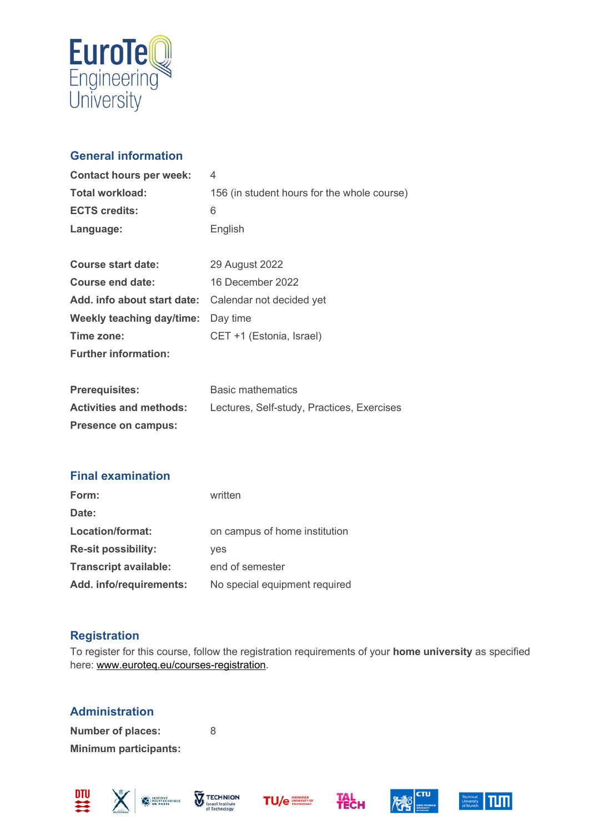

# **General information**

| <b>Contact hours per week:</b> | 4                                           |
|--------------------------------|---------------------------------------------|
| Total workload:                | 156 (in student hours for the whole course) |
| <b>ECTS credits:</b>           | 6                                           |
| Language:                      | English                                     |
|                                |                                             |
| Course start date:             | 29 August 2022                              |
| Course end date:               | 16 December 2022                            |
| Add. info about start date:    | Calendar not decided yet                    |
| Weekly teaching day/time:      | Day time                                    |
| Time zone:                     | CET +1 (Estonia, Israel)                    |
| <b>Further information:</b>    |                                             |
|                                |                                             |
| <b>Prerequisites:</b>          | Basic mathematics                           |
| <b>Activities and methods:</b> | Lectures, Self-study, Practices, Exercises  |
| <b>Presence on campus:</b>     |                                             |

## **Final examination**

| Form:                        | written                       |
|------------------------------|-------------------------------|
| Date:                        |                               |
| Location/format:             | on campus of home institution |
| <b>Re-sit possibility:</b>   | yes                           |
| <b>Transcript available:</b> | end of semester               |
| Add. info/requirements:      | No special equipment required |

## **Registration**

To register for this course, follow the registration requirements of your **home university** as specified here: [www.euroteq.eu/courses-registration.](http://www.euroteq.eu/courses-registration)

# **Administration**

**Number of places:** 8 **Minimum participants:**